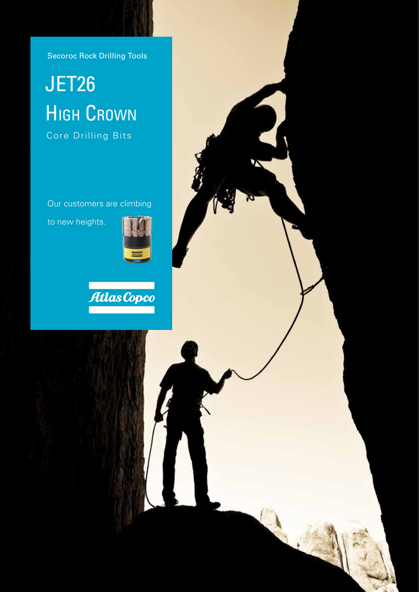Secoroc Rock Drilling Tools

# JET26 High Crown Core Drilling Bits

Our customers are climbing

to new heights.



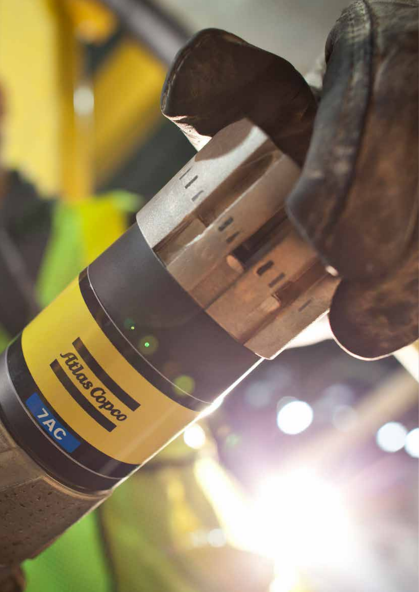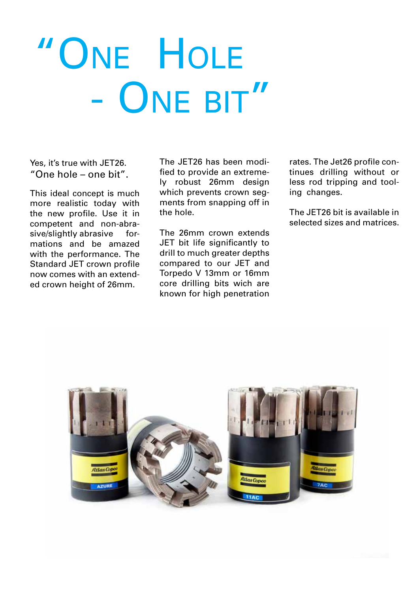# "One Hole - ONE BIT"

Yes, it's true with JET26. "One hole – one bit".

This ideal concept is much more realistic today with the new profile. Use it in competent and non-abrasive/slightly abrasive formations and be amazed with the performance. The Standard JET crown profile now comes with an extended crown height of 26mm.

The JET26 has been modified to provide an extremely robust 26mm design which prevents crown segments from snapping off in the hole.

The 26mm crown extends JET bit life significantly to drill to much greater depths compared to our JET and Torpedo V 13mm or 16mm core drilling bits wich are known for high penetration rates. The Jet26 profile continues drilling without or less rod tripping and tooling changes.

The JET26 bit is available in selected sizes and matrices.

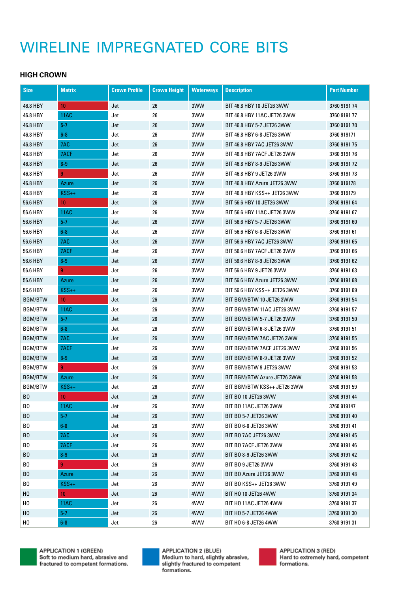### WIRELINE IMPREGNATED CORE BITS

#### **HIGH CROWN**

| <b>Size</b>    | <b>Matrix</b>    | <b>Crown Profile</b> | <b>Crown Height</b> | <b>Waterways</b> | <b>Description</b>           | <b>Part Number</b> |
|----------------|------------------|----------------------|---------------------|------------------|------------------------------|--------------------|
| 46.8 HBY       | 10               | Jet                  | 26                  | 3WW              | BIT 46.8 HBY 10 JET26 3WW    | 3760 9191 74       |
| 46.8 HBY       | <b>11AC</b>      | Jet                  | 26                  | 3WW              | BIT 46.8 HBY 11AC JET26 3WW  | 3760 9191 77       |
| 46.8 HBY       | $5 - 7$          | Jet                  | 26                  | 3WW              | BIT 46.8 HBY 5-7 JET26 3WW   | 3760 9191 70       |
| 46.8 HBY       | $6-8$            | Jet                  | 26                  | 3WW              | BIT 46.8 HBY 6-8 JET26 3WW   | 3760 919171        |
| 46.8 HBY       | 7AC              | Jet                  | 26                  | 3WW              | BIT 46.8 HBY 7AC JET26 3WW   | 3760 9191 75       |
| 46.8 HBY       | 7ACF             | Jet                  | 26                  | 3WW              | BIT 46.8 HBY 7ACF JET26 3WW  | 3760 9191 76       |
| 46.8 HBY       | $8-9$            | Jet                  | 26                  | 3WW              | BIT 46.8 HBY 8-9 JET26 3WW   | 3760 9191 72       |
| 46.8 HBY       | $\boldsymbol{9}$ | Jet                  | 26                  | 3WW              | BIT 46.8 HBY 9 JET26 3WW     | 3760 9191 73       |
| 46.8 HBY       | Azure            | Jet                  | 26                  | 3WW              | BIT 46.8 HBY Azure JET26 3WW | 3760 919178        |
| 46.8 HBY       | $KSS++$          | Jet                  | 26                  | 3WW              | BIT 46.8 HBY KSS++ JET26 3WW | 3760 919179        |
| 56.6 HBY       | 10               | Jet                  | 26                  | 3WW              | BIT 56.6 HBY 10 JET26 3WW    | 3760 9191 64       |
| 56.6 HBY       | <b>11AC</b>      | Jet                  | 26                  | 3WW              | BIT 56.6 HBY 11AC JET26 3WW  | 3760 9191 67       |
| 56.6 HBY       | $5 - 7$          | Jet                  | 26                  | 3WW              | BIT 56.6 HBY 5-7 JET26 3WW   | 3760 9191 60       |
| 56.6 HBY       | $6-8$            | Jet                  | 26                  | 3WW              | BIT 56.6 HBY 6-8 JET26 3WW   | 3760 9191 61       |
| 56.6 HBY       | 7AC              | Jet                  | 26                  | 3WW              | BIT 56.6 HBY 7AC JET26 3WW   | 3760 9191 65       |
| 56.6 HBY       | 7ACF             | Jet                  | 26                  | 3WW              | BIT 56.6 HBY 7ACF JET26 3WW  | 3760 9191 66       |
| 56.6 HBY       | $8-9$            | Jet                  | 26                  | 3WW              | BIT 56.6 HBY 8-9 JET26 3WW   | 3760 9191 62       |
| 56.6 HBY       | $\boldsymbol{9}$ | Jet                  | 26                  | 3WW              | BIT 56.6 HBY 9 JET26 3WW     | 3760 9191 63       |
| 56.6 HBY       | Azure            | Jet                  | 26                  | 3WW              | BIT 56.6 HBY Azure JET26 3WW | 3760 9191 68       |
| 56.6 HBY       | $KSS++$          | Jet                  | 26                  | 3WW              | BIT 56.6 HBY KSS++ JET26 3WW | 3760 9191 69       |
| BGM/BTW        | 10               | Jet                  | 26                  | 3WW              | BIT BGM/BTW 10 JET26 3WW     | 3760 9191 54       |
| BGM/BTW        | <b>11AC</b>      | Jet                  | 26                  | 3WW              | BIT BGM/BTW 11AC JET26 3WW   | 3760 9191 57       |
| BGM/BTW        | $5 - 7$          | Jet                  | 26                  | 3WW              | BIT BGM/BTW 5-7 JET26 3WW    | 3760 9191 50       |
| BGM/BTW        | $6-8$            | Jet                  | 26                  | 3WW              | BIT BGM/BTW 6-8 JET26 3WW    | 3760 9191 51       |
| BGM/BTW        | 7AC              | Jet                  | 26                  | 3WW              | BIT BGM/BTW 7AC JET26 3WW    | 3760 9191 55       |
| BGM/BTW        | 7ACF             | Jet                  | 26                  | 3WW              | BIT BGM/BTW 7ACF JET26 3WW   | 3760 9191 56       |
| <b>BGM/BTW</b> | $8-9$            | Jet                  | 26                  | 3WW              | BIT BGM/BTW 8-9 JET26 3WW    | 3760 9191 52       |
| BGM/BTW        | $\boldsymbol{9}$ | Jet                  | 26                  | 3WW              | BIT BGM/BTW 9 JET26 3WW      | 3760 9191 53       |
| BGM/BTW        | Azure            | Jet                  | 26                  | 3WW              | BIT BGM/BTW Azure JET26 3WW  | 3760 9191 58       |
| BGM/BTW        | $KSS++$          | Jet                  | 26                  | 3WW              | BIT BGM/BTW KSS++ JET26 3WW  | 3760 9191 59       |
| BO             | 10               | Jet                  | 26                  | 3WW              | BIT BO 10 JET26 3WW          | 3760 9191 44       |
| BO             | 11AC             | Jet                  | 26                  | 3WW              | BIT BO 11AC JET26 3WW        | 3760 919147        |
| BO             | $5 - 7$          | Jet                  | 26                  | 3WW              | BIT BO 5-7 JET26 3WW         | 3760 9191 40       |
| B <sub>0</sub> | $6-8$            | Jet                  | 26                  | 3WW              | BIT BO 6-8 JET26 3WW         | 3760 9191 41       |
| B <sub>0</sub> | 7AC              | Jet                  | 26                  | 3WW              | BIT BO 7AC JET26 3WW         | 3760 9191 45       |
| BO             | 7ACF             | Jet                  | 26                  | 3WW              | BIT BO 7ACF JET26 3WW        | 3760 9191 46       |
| BO             | $8-9$            | Jet                  | 26                  | 3WW              | BIT BO 8-9 JET26 3WW         | 3760 9191 42       |
| B <sub>0</sub> | $\overline{9}$   | Jet                  | 26                  | 3WW              | BIT BO 9 JET26 3WW           | 3760 9191 43       |
| B <sub>0</sub> | Azure            | Jet                  | 26                  | 3WW              | BIT BO Azure JET26 3WW       | 3760 9191 48       |
| BO             | $KSS++$          | Jet                  | 26                  | 3WW              | BIT BO KSS++ JET26 3WW       | 3760 9191 49       |
| HO             | 10               | Jet                  | 26                  | 4WW              | BIT HO 10 JET26 4WW          | 3760 9191 34       |
| H <sub>0</sub> | 11AC             | Jet                  | 26                  | 4WW              | BIT HO 11AC JET26 4WW        | 3760 9191 37       |
| H <sub>0</sub> | $5 - 7$          | Jet                  | 26                  | 4WW              | BIT HO 5-7 JET26 4WW         | 3760 9191 30       |
| H <sub>0</sub> | $6-8$            | Jet                  | 26                  | 4WW              | BIT HO 6-8 JET26 4WW         | 3760 9191 31       |



APPLICATION 1 (GREEN) Soft to medium hard, abrasive and fractured to competent formations. APPLICATION 2 (BLUE) Million to hard, slightly abrasive,<br>slightly fractured to competent formations.



APPLICATION 3 (RED) Hard to extremely hard, competent formations.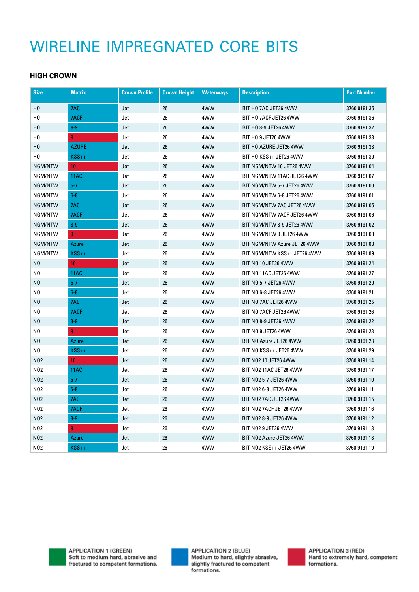### WIRELINE IMPREGNATED CORE BITS

#### **HIGH CROWN**

| <b>Size</b>      | <b>Matrix</b>   | <b>Crown Profile</b> | <b>Crown Height</b> | <b>Waterways</b> | <b>Description</b>          | <b>Part Number</b> |
|------------------|-----------------|----------------------|---------------------|------------------|-----------------------------|--------------------|
| H <sub>0</sub>   | 7AC             | Jet                  | 26                  | 4WW              | BIT HO 7AC JET26 4WW        | 3760 9191 35       |
| H <sub>0</sub>   | 7ACF            | Jet                  | 26                  | 4WW              | BIT HO 7ACF JET26 4WW       | 3760 9191 36       |
| H <sub>0</sub>   | $8-9$           | Jet                  | 26                  | 4WW              | BIT HO 8-9 JET26 4WW        | 3760 9191 32       |
| H <sub>0</sub>   | $\overline{9}$  | Jet                  | 26                  | 4WW              | BIT HO 9 JET26 4WW          | 3760 9191 33       |
| H <sub>0</sub>   | <b>AZURE</b>    | Jet                  | 26                  | 4WW              | BIT HO AZURE JET26 4WW      | 3760 9191 38       |
| H <sub>0</sub>   | $KSS++$         | Jet                  | 26                  | 4WW              | BIT HO KSS++ JET26 4WW      | 3760 9191 39       |
| NGM/NTW          | 10              | Jet                  | 26                  | 4WW              | BIT NGM/NTW 10 JET26 4WW    | 3760 9191 04       |
| NGM/NTW          | <b>11AC</b>     | Jet                  | 26                  | 4WW              | BIT NGM/NTW 11AC JET26 4WW  | 3760 9191 07       |
| NGM/NTW          | $5 - 7$         | Jet                  | 26                  | 4WW              | BIT NGM/NTW 5-7 JET26 4WW   | 3760 9191 00       |
| NGM/NTW          | $6-8$           | Jet                  | 26                  | 4WW              | BIT NGM/NTW 6-8 JET26 4WW   | 3760 9191 01       |
| NGM/NTW          | 7AC             | Jet                  | 26                  | 4WW              | BIT NGM/NTW 7AC JET26 4WW   | 3760 9191 05       |
| NGM/NTW          | 7ACF            | Jet                  | 26                  | 4WW              | BIT NGM/NTW 7ACF JET26 4WW  | 3760 9191 06       |
| NGM/NTW          | $8-9$           | Jet                  | 26                  | 4WW              | BIT NGM/NTW 8-9 JET26 4WW   | 3760 9191 02       |
| NGM/NTW          | $\overline{9}$  | Jet                  | 26                  | 4WW              | BIT NGM/NTW 9 JET26 4WW     | 3760 9191 03       |
| NGM/NTW          | <b>Azure</b>    | Jet                  | 26                  | 4WW              | BIT NGM/NTW Azure JET26 4WW | 3760 9191 08       |
| NGM/NTW          | $KSS++$         | Jet                  | 26                  | 4WW              | BIT NGM/NTW KSS++ JET26 4WW | 3760 9191 09       |
| N <sub>0</sub>   | 10              | Jet                  | 26                  | 4WW              | BIT NO 10 JET26 4WW         | 3760 9191 24       |
| N <sub>0</sub>   | <b>11AC</b>     | Jet                  | 26                  | 4WW              | BIT NO 11AC JET26 4WW       | 3760 9191 27       |
| N <sub>0</sub>   | $5 - 7$         | Jet                  | 26                  | 4WW              | BIT NO 5-7 JET26 4WW        | 3760 9191 20       |
| N <sub>0</sub>   | $6 - 8$         | Jet                  | 26                  | 4WW              | BIT NO 6-8 JET26 4WW        | 3760 9191 21       |
| N <sub>0</sub>   | 7AC             | Jet                  | 26                  | 4WW              | BIT NO 7AC JET26 4WW        | 3760 9191 25       |
| N <sub>0</sub>   | 7ACF            | Jet                  | 26                  | 4WW              | BIT NO 7ACF JET26 4WW       | 3760 9191 26       |
| N <sub>0</sub>   | $8-9$           | Jet                  | 26                  | 4WW              | BIT NO 8-9 JET26 4WW        | 3760 9191 22       |
| N0               | 9               | Jet                  | 26                  | 4WW              | BIT NO 9 JET26 4WW          | 3760 9191 23       |
| N0               | Azure           | Jet                  | 26                  | 4WW              | BIT NO Azure JET26 4WW      | 3760 9191 28       |
| NO.              | $KSS++$         | Jet                  | 26                  | 4WW              | BIT NO KSS++ JET26 4WW      | 3760 9191 29       |
| N <sub>02</sub>  | 10 <sup>1</sup> | Jet                  | 26                  | 4WW              | BIT NO2 10 JET26 4WW        | 3760 9191 14       |
| N02              | <b>11AC</b>     | Jet                  | 26                  | 4WW              | BIT NO2 11AC JET26 4WW      | 3760 9191 17       |
| N <sub>02</sub>  | $5 - 7$         | Jet                  | 26                  | 4WW              | BIT NO2 5-7 JET26 4WW       | 3760 9191 10       |
| N02              | $6 - 8$         | Jet                  | 26                  | 4WW              | BIT NO2 6-8 JET26 4WW       | 3760 9191 11       |
| N <sub>02</sub>  | 7AC             | Jet                  | 26                  | 4WW              | BIT NO2 7AC JET26 4WW       | 3760 9191 15       |
| N02              | 7ACF            | Jet                  | 26                  | 4WW              | BIT NO2 7ACF JET26 4WW      | 3760 9191 16       |
| N <sub>0</sub> 2 | $8-9$           | Jet                  | 26                  | 4WW              | BIT NO2 8-9 JET26 4WW       | 3760 9191 12       |
| N02              | 9               | Jet                  | 26                  | 4WW              | BIT NO2 9 JET26 4WW         | 3760 9191 13       |
| N <sub>02</sub>  | Azure           | Jet                  | 26                  | 4WW              | BIT NO2 Azure JET26 4WW     | 3760 9191 18       |
| N02              | $KSS++$         | Jet                  | 26                  | 4WW              | BIT NO2 KSS++ JET26 4WW     | 3760 9191 19       |





APPLICATION 2 (BLUE) Medium to hard, slightly abrasive, slightly fractured to competent formations.



APPLICATION 3 (RED) Hard to extremely hard, competent formations.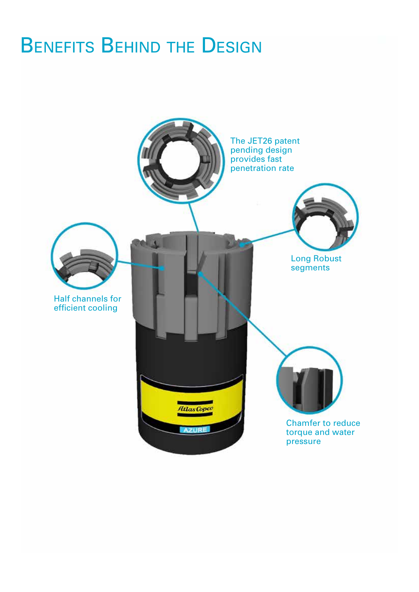# BENEFITS BEHIND THE DESIGN

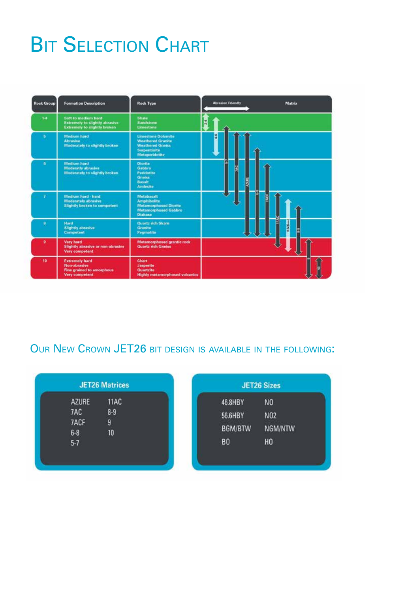# **BIT SELECTION CHART**

| <b>Rock Group</b> | <b>Formation Description</b>                                                                | <b>Rock Type</b>                                                                                                   | <b>Abrasion Friendly</b> | <b>Matrix</b> |
|-------------------|---------------------------------------------------------------------------------------------|--------------------------------------------------------------------------------------------------------------------|--------------------------|---------------|
| 14                | Soft to medium hard<br>Extremely to slightly abrasive<br>Extremely to slightly broken       | Shafe:<br><b>Sandstone</b><br>Limestone                                                                            | X                        |               |
| в                 | <b>Medium hard</b><br><b>Altrasive</b><br>Moderately to slightly broken                     | <b>Limestone Dolomite</b><br><b>Weathered Granite</b><br><b>Weathered Gneiss</b><br>Serpentinite<br>Metaperidotite | 3                        |               |
| ß.                | <b>Medium hard</b><br>Moderatly abrasive<br>Moderately to slightly broken                   | <b>Diorite</b><br>Gabbro<br>Peridotite<br><b>Griefss</b><br>Basalt<br>Andesito                                     | H<br>Ę                   |               |
| Ŧ.                | Medium hard - hard<br><b>Moderately abrasive</b><br><b>Slightly broken to competent</b>     | Motabasalt<br>Amphibolite<br><b>Metamorphosed Diorite</b><br>Metamorphosed Gabbro<br><b>Diabase</b>                |                          | ğ             |
| 8                 | Hard<br>Slightly abrasive<br>Competent                                                      | Quartz rich Skarn<br>Granite<br>Pegmatita                                                                          |                          | SHAW!         |
| 9                 | <b>Very hard</b><br>Slightly abrasive or non-abrasive<br><b>Very competent</b>              | Metamorphosed grantic rock<br>Quartz rich Gneiss                                                                   |                          |               |
| 10                | <b>Extremely hard</b><br>Non-abrasive<br>Fine grained to amorphous<br><b>Very competent</b> | <b>Cinert</b><br>Jasperite<br>Quartzite<br><b>Highly metamorphosed volcanics</b>                                   |                          |               |

#### OUR NEW CROWN JET26 BIT DESIGN IS AVAILABLE IN THE FOLLOWING:

|                 | <b>JET26 Matrices</b> |                | <b>JET26 Sizes</b> |
|-----------------|-----------------------|----------------|--------------------|
| AZURE           | 11AC                  | 46.8HBY        | N <sub>0</sub>     |
| 7AC             | $8 - 9$               | 56.6HBY        | N <sub>02</sub>    |
| 7ACF<br>$6 - 8$ | 9<br>10               | <b>BGM/BTW</b> | NGM/NTW            |
| $5 - 7$         |                       | B <sub>0</sub> | H <sub>0</sub>     |